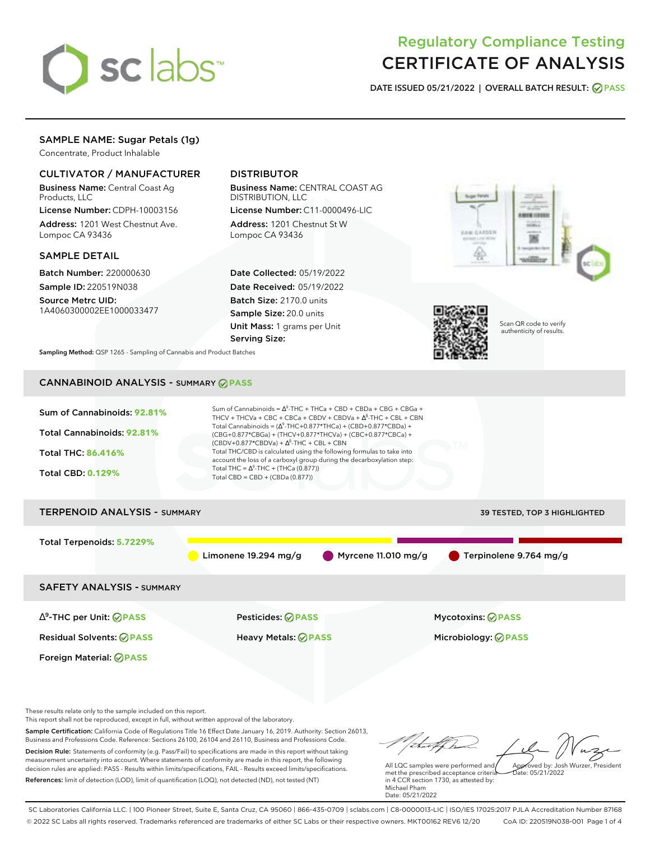

# Regulatory Compliance Testing CERTIFICATE OF ANALYSIS

**DATE ISSUED 05/21/2022 | OVERALL BATCH RESULT: PASS**

# SAMPLE NAME: Sugar Petals (1g)

Concentrate, Product Inhalable

### CULTIVATOR / MANUFACTURER

Business Name: Central Coast Ag Products, LLC

License Number: CDPH-10003156 Address: 1201 West Chestnut Ave. Lompoc CA 93436

### SAMPLE DETAIL

Batch Number: 220000630 Sample ID: 220519N038

Source Metrc UID: 1A4060300002EE1000033477

# DISTRIBUTOR

Business Name: CENTRAL COAST AG DISTRIBUTION, LLC License Number: C11-0000496-LIC

Address: 1201 Chestnut St W Lompoc CA 93436

Date Collected: 05/19/2022 Date Received: 05/19/2022 Batch Size: 2170.0 units Sample Size: 20.0 units Unit Mass: 1 grams per Unit Serving Size:





Scan QR code to verify authenticity of results.

**Sampling Method:** QSP 1265 - Sampling of Cannabis and Product Batches

# CANNABINOID ANALYSIS - SUMMARY **PASS**

| Sum of Cannabinoids: 92.81%<br>Total Cannabinoids: 92.81%<br>Total THC: 86.416%<br><b>Total CBD: 0.129%</b> | Sum of Cannabinoids = $\Delta^9$ -THC + THCa + CBD + CBDa + CBG + CBGa +<br>THCV + THCVa + CBC + CBCa + CBDV + CBDVa + $\Delta^8$ -THC + CBL + CBN<br>Total Cannabinoids = $(\Delta^9$ -THC+0.877*THCa) + (CBD+0.877*CBDa) +<br>(CBG+0.877*CBGa) + (THCV+0.877*THCVa) + (CBC+0.877*CBCa) +<br>$(CBDV+0.877*CBDVa) + \Delta^8$ -THC + CBL + CBN<br>Total THC/CBD is calculated using the following formulas to take into<br>account the loss of a carboxyl group during the decarboxylation step:<br>Total THC = $\Delta^9$ -THC + (THCa (0.877))<br>Total CBD = CBD + (CBDa (0.877)) |                              |
|-------------------------------------------------------------------------------------------------------------|--------------------------------------------------------------------------------------------------------------------------------------------------------------------------------------------------------------------------------------------------------------------------------------------------------------------------------------------------------------------------------------------------------------------------------------------------------------------------------------------------------------------------------------------------------------------------------------|------------------------------|
| <b>TERPENOID ANALYSIS - SUMMARY</b>                                                                         |                                                                                                                                                                                                                                                                                                                                                                                                                                                                                                                                                                                      | 39 TESTED, TOP 3 HIGHLIGHTED |
| Total Terpenoids: 5.7229%                                                                                   | Myrcene 11.010 mg/g<br>Limonene $19.294$ mg/g                                                                                                                                                                                                                                                                                                                                                                                                                                                                                                                                        | Terpinolene 9.764 mg/g       |
| <b>SAFETY ANALYSIS - SUMMARY</b>                                                                            |                                                                                                                                                                                                                                                                                                                                                                                                                                                                                                                                                                                      |                              |
| $\Delta^9$ -THC per Unit: $\bigcirc$ PASS                                                                   | <b>Pesticides: ⊘ PASS</b>                                                                                                                                                                                                                                                                                                                                                                                                                                                                                                                                                            | <b>Mycotoxins: ⊘PASS</b>     |
| <b>Residual Solvents: ØPASS</b>                                                                             | <b>Heavy Metals: ⊘ PASS</b>                                                                                                                                                                                                                                                                                                                                                                                                                                                                                                                                                          | Microbiology: <b>⊘PASS</b>   |
| <b>Foreign Material: ØPASS</b>                                                                              |                                                                                                                                                                                                                                                                                                                                                                                                                                                                                                                                                                                      |                              |
|                                                                                                             |                                                                                                                                                                                                                                                                                                                                                                                                                                                                                                                                                                                      |                              |

These results relate only to the sample included on this report. This report shall not be reproduced, except in full, without written approval of the laboratory.

Sample Certification: California Code of Regulations Title 16 Effect Date January 16, 2019. Authority: Section 26013, Business and Professions Code. Reference: Sections 26100, 26104 and 26110, Business and Professions Code. Decision Rule: Statements of conformity (e.g. Pass/Fail) to specifications are made in this report without taking measurement uncertainty into account. Where statements of conformity are made in this report, the following decision rules are applied: PASS - Results within limits/specifications, FAIL - Results exceed limits/specifications.

References: limit of detection (LOD), limit of quantification (LOQ), not detected (ND), not tested (NT)

that for Approved by: Josh Wurzer, President

Date: 05/21/2022

All LQC samples were performed and met the prescribed acceptance criteria in 4 CCR section 1730, as attested by: Michael Pham Date: 05/21/2022

SC Laboratories California LLC. | 100 Pioneer Street, Suite E, Santa Cruz, CA 95060 | 866-435-0709 | sclabs.com | C8-0000013-LIC | ISO/IES 17025:2017 PJLA Accreditation Number 87168 © 2022 SC Labs all rights reserved. Trademarks referenced are trademarks of either SC Labs or their respective owners. MKT00162 REV6 12/20 CoA ID: 220519N038-001 Page 1 of 4